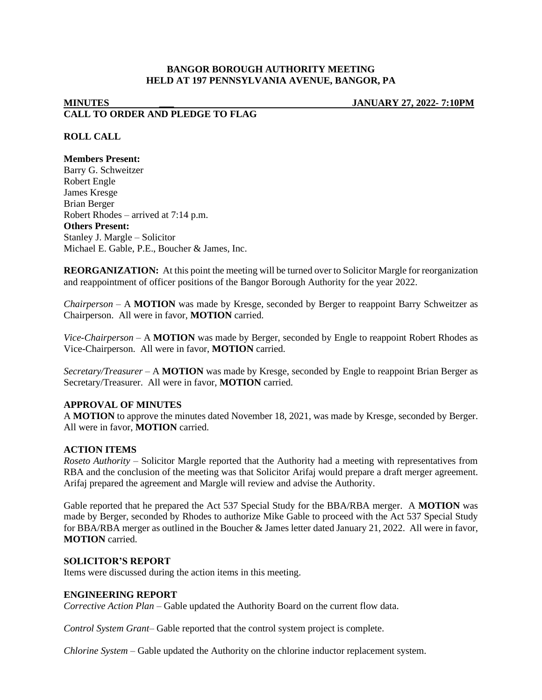# **BANGOR BOROUGH AUTHORITY MEETING HELD AT 197 PENNSYLVANIA AVENUE, BANGOR, PA**

# **MINUTES \_\_\_ JANUARY 27, 2022- 7:10PM CALL TO ORDER AND PLEDGE TO FLAG**

## **ROLL CALL**

### **Members Present:**

Barry G. Schweitzer Robert Engle James Kresge Brian Berger Robert Rhodes – arrived at 7:14 p.m. **Others Present:** Stanley J. Margle – Solicitor Michael E. Gable, P.E., Boucher & James, Inc.

**REORGANIZATION:** At this point the meeting will be turned over to Solicitor Margle for reorganization and reappointment of officer positions of the Bangor Borough Authority for the year 2022.

*Chairperson* – A **MOTION** was made by Kresge, seconded by Berger to reappoint Barry Schweitzer as Chairperson. All were in favor, **MOTION** carried.

*Vice-Chairperson* – A **MOTION** was made by Berger, seconded by Engle to reappoint Robert Rhodes as Vice-Chairperson. All were in favor, **MOTION** carried.

*Secretary/Treasurer* – A **MOTION** was made by Kresge, seconded by Engle to reappoint Brian Berger as Secretary/Treasurer. All were in favor, **MOTION** carried.

#### **APPROVAL OF MINUTES**

A **MOTION** to approve the minutes dated November 18, 2021, was made by Kresge, seconded by Berger. All were in favor, **MOTION** carried.

#### **ACTION ITEMS**

*Roseto Authority –* Solicitor Margle reported that the Authority had a meeting with representatives from RBA and the conclusion of the meeting was that Solicitor Arifaj would prepare a draft merger agreement. Arifaj prepared the agreement and Margle will review and advise the Authority.

Gable reported that he prepared the Act 537 Special Study for the BBA/RBA merger. A **MOTION** was made by Berger, seconded by Rhodes to authorize Mike Gable to proceed with the Act 537 Special Study for BBA/RBA merger as outlined in the Boucher & James letter dated January 21, 2022. All were in favor, **MOTION** carried.

## **SOLICITOR'S REPORT**

Items were discussed during the action items in this meeting.

#### **ENGINEERING REPORT**

*Corrective Action Plan –* Gable updated the Authority Board on the current flow data.

*Control System Grant–* Gable reported that the control system project is complete.

*Chlorine System –* Gable updated the Authority on the chlorine inductor replacement system.